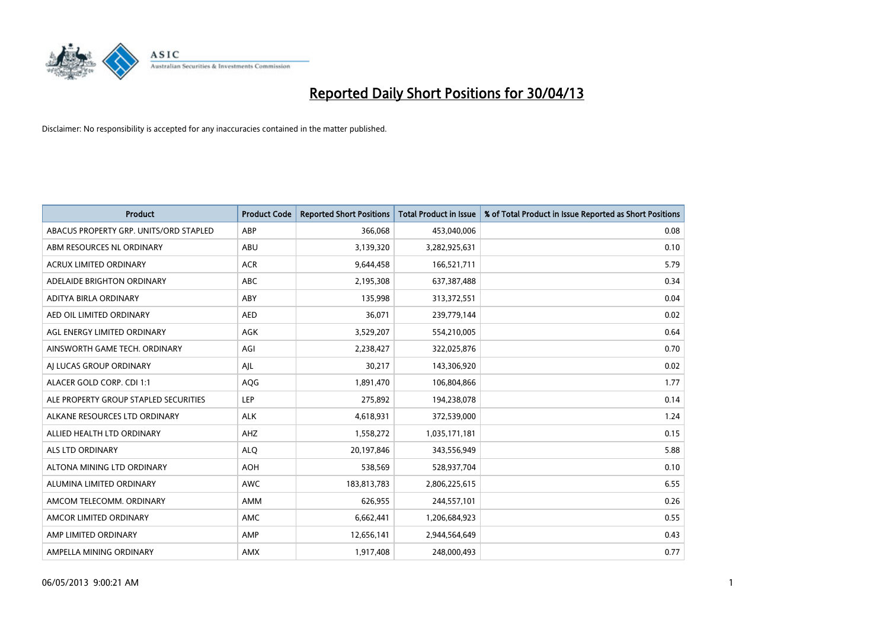

| <b>Product</b>                         | <b>Product Code</b> | <b>Reported Short Positions</b> | <b>Total Product in Issue</b> | % of Total Product in Issue Reported as Short Positions |
|----------------------------------------|---------------------|---------------------------------|-------------------------------|---------------------------------------------------------|
| ABACUS PROPERTY GRP. UNITS/ORD STAPLED | ABP                 | 366,068                         | 453,040,006                   | 0.08                                                    |
| ABM RESOURCES NL ORDINARY              | ABU                 | 3,139,320                       | 3,282,925,631                 | 0.10                                                    |
| <b>ACRUX LIMITED ORDINARY</b>          | <b>ACR</b>          | 9,644,458                       | 166,521,711                   | 5.79                                                    |
| ADELAIDE BRIGHTON ORDINARY             | <b>ABC</b>          | 2,195,308                       | 637,387,488                   | 0.34                                                    |
| ADITYA BIRLA ORDINARY                  | ABY                 | 135,998                         | 313,372,551                   | 0.04                                                    |
| AED OIL LIMITED ORDINARY               | <b>AED</b>          | 36,071                          | 239,779,144                   | 0.02                                                    |
| AGL ENERGY LIMITED ORDINARY            | AGK                 | 3,529,207                       | 554,210,005                   | 0.64                                                    |
| AINSWORTH GAME TECH. ORDINARY          | AGI                 | 2,238,427                       | 322,025,876                   | 0.70                                                    |
| AI LUCAS GROUP ORDINARY                | AJL                 | 30,217                          | 143,306,920                   | 0.02                                                    |
| ALACER GOLD CORP. CDI 1:1              | <b>AQG</b>          | 1,891,470                       | 106,804,866                   | 1.77                                                    |
| ALE PROPERTY GROUP STAPLED SECURITIES  | <b>LEP</b>          | 275,892                         | 194,238,078                   | 0.14                                                    |
| ALKANE RESOURCES LTD ORDINARY          | <b>ALK</b>          | 4,618,931                       | 372,539,000                   | 1.24                                                    |
| ALLIED HEALTH LTD ORDINARY             | AHZ                 | 1,558,272                       | 1,035,171,181                 | 0.15                                                    |
| ALS LTD ORDINARY                       | <b>ALO</b>          | 20,197,846                      | 343,556,949                   | 5.88                                                    |
| ALTONA MINING LTD ORDINARY             | <b>AOH</b>          | 538,569                         | 528,937,704                   | 0.10                                                    |
| ALUMINA LIMITED ORDINARY               | AWC                 | 183,813,783                     | 2,806,225,615                 | 6.55                                                    |
| AMCOM TELECOMM. ORDINARY               | AMM                 | 626,955                         | 244,557,101                   | 0.26                                                    |
| AMCOR LIMITED ORDINARY                 | AMC                 | 6,662,441                       | 1,206,684,923                 | 0.55                                                    |
| AMP LIMITED ORDINARY                   | AMP                 | 12,656,141                      | 2,944,564,649                 | 0.43                                                    |
| AMPELLA MINING ORDINARY                | AMX                 | 1,917,408                       | 248,000,493                   | 0.77                                                    |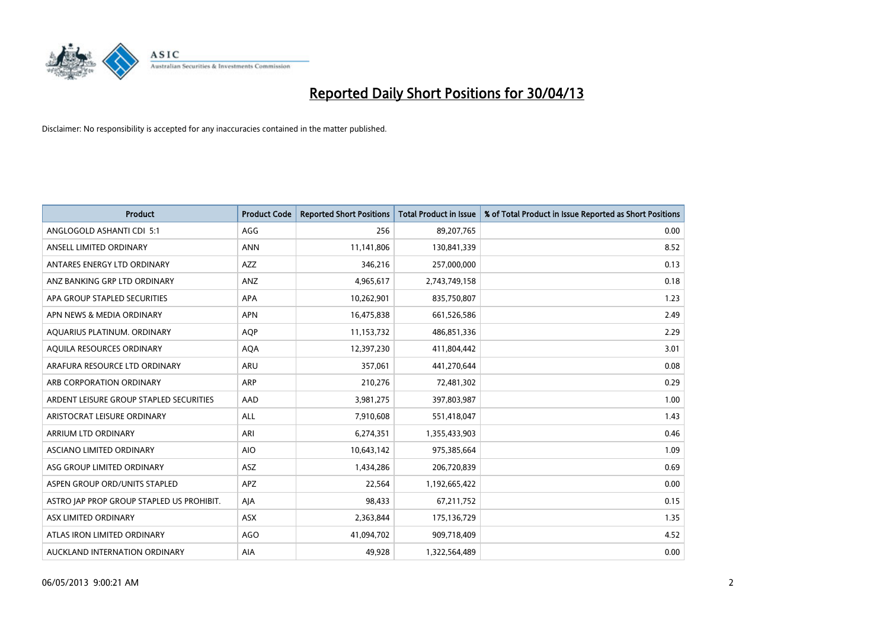

| <b>Product</b>                            | <b>Product Code</b> | <b>Reported Short Positions</b> | <b>Total Product in Issue</b> | % of Total Product in Issue Reported as Short Positions |
|-------------------------------------------|---------------------|---------------------------------|-------------------------------|---------------------------------------------------------|
| ANGLOGOLD ASHANTI CDI 5:1                 | AGG                 | 256                             | 89,207,765                    | 0.00                                                    |
| ANSELL LIMITED ORDINARY                   | <b>ANN</b>          | 11,141,806                      | 130,841,339                   | 8.52                                                    |
| ANTARES ENERGY LTD ORDINARY               | AZZ                 | 346,216                         | 257,000,000                   | 0.13                                                    |
| ANZ BANKING GRP LTD ORDINARY              | ANZ                 | 4,965,617                       | 2,743,749,158                 | 0.18                                                    |
| APA GROUP STAPLED SECURITIES              | APA                 | 10,262,901                      | 835,750,807                   | 1.23                                                    |
| APN NEWS & MEDIA ORDINARY                 | <b>APN</b>          | 16,475,838                      | 661,526,586                   | 2.49                                                    |
| AQUARIUS PLATINUM. ORDINARY               | <b>AOP</b>          | 11,153,732                      | 486,851,336                   | 2.29                                                    |
| AQUILA RESOURCES ORDINARY                 | <b>AQA</b>          | 12,397,230                      | 411,804,442                   | 3.01                                                    |
| ARAFURA RESOURCE LTD ORDINARY             | <b>ARU</b>          | 357,061                         | 441,270,644                   | 0.08                                                    |
| ARB CORPORATION ORDINARY                  | ARP                 | 210,276                         | 72,481,302                    | 0.29                                                    |
| ARDENT LEISURE GROUP STAPLED SECURITIES   | AAD                 | 3,981,275                       | 397,803,987                   | 1.00                                                    |
| ARISTOCRAT LEISURE ORDINARY               | ALL                 | 7,910,608                       | 551,418,047                   | 1.43                                                    |
| ARRIUM LTD ORDINARY                       | ARI                 | 6,274,351                       | 1,355,433,903                 | 0.46                                                    |
| ASCIANO LIMITED ORDINARY                  | <b>AIO</b>          | 10,643,142                      | 975,385,664                   | 1.09                                                    |
| ASG GROUP LIMITED ORDINARY                | ASZ                 | 1,434,286                       | 206,720,839                   | 0.69                                                    |
| ASPEN GROUP ORD/UNITS STAPLED             | APZ                 | 22,564                          | 1,192,665,422                 | 0.00                                                    |
| ASTRO JAP PROP GROUP STAPLED US PROHIBIT. | AJA                 | 98,433                          | 67,211,752                    | 0.15                                                    |
| ASX LIMITED ORDINARY                      | ASX                 | 2,363,844                       | 175,136,729                   | 1.35                                                    |
| ATLAS IRON LIMITED ORDINARY               | AGO                 | 41,094,702                      | 909,718,409                   | 4.52                                                    |
| AUCKLAND INTERNATION ORDINARY             | AIA                 | 49,928                          | 1,322,564,489                 | 0.00                                                    |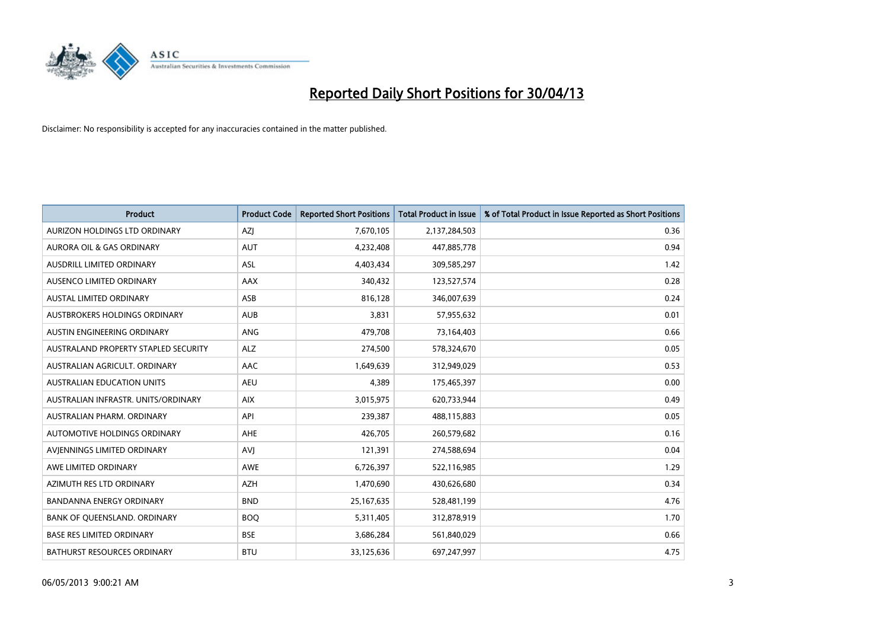

| <b>Product</b>                       | <b>Product Code</b> | <b>Reported Short Positions</b> | <b>Total Product in Issue</b> | % of Total Product in Issue Reported as Short Positions |
|--------------------------------------|---------------------|---------------------------------|-------------------------------|---------------------------------------------------------|
| AURIZON HOLDINGS LTD ORDINARY        | AZJ                 | 7,670,105                       | 2,137,284,503                 | 0.36                                                    |
| AURORA OIL & GAS ORDINARY            | <b>AUT</b>          | 4,232,408                       | 447,885,778                   | 0.94                                                    |
| <b>AUSDRILL LIMITED ORDINARY</b>     | ASL                 | 4,403,434                       | 309,585,297                   | 1.42                                                    |
| AUSENCO LIMITED ORDINARY             | <b>AAX</b>          | 340,432                         | 123,527,574                   | 0.28                                                    |
| <b>AUSTAL LIMITED ORDINARY</b>       | ASB                 | 816,128                         | 346,007,639                   | 0.24                                                    |
| AUSTBROKERS HOLDINGS ORDINARY        | <b>AUB</b>          | 3,831                           | 57,955,632                    | 0.01                                                    |
| AUSTIN ENGINEERING ORDINARY          | ANG                 | 479,708                         | 73,164,403                    | 0.66                                                    |
| AUSTRALAND PROPERTY STAPLED SECURITY | <b>ALZ</b>          | 274,500                         | 578,324,670                   | 0.05                                                    |
| AUSTRALIAN AGRICULT, ORDINARY        | AAC                 | 1,649,639                       | 312,949,029                   | 0.53                                                    |
| <b>AUSTRALIAN EDUCATION UNITS</b>    | <b>AEU</b>          | 4,389                           | 175,465,397                   | 0.00                                                    |
| AUSTRALIAN INFRASTR. UNITS/ORDINARY  | <b>AIX</b>          | 3,015,975                       | 620,733,944                   | 0.49                                                    |
| AUSTRALIAN PHARM, ORDINARY           | API                 | 239,387                         | 488,115,883                   | 0.05                                                    |
| AUTOMOTIVE HOLDINGS ORDINARY         | <b>AHE</b>          | 426,705                         | 260,579,682                   | 0.16                                                    |
| AVIENNINGS LIMITED ORDINARY          | <b>AVJ</b>          | 121,391                         | 274,588,694                   | 0.04                                                    |
| AWE LIMITED ORDINARY                 | AWE                 | 6,726,397                       | 522,116,985                   | 1.29                                                    |
| AZIMUTH RES LTD ORDINARY             | <b>AZH</b>          | 1,470,690                       | 430,626,680                   | 0.34                                                    |
| <b>BANDANNA ENERGY ORDINARY</b>      | <b>BND</b>          | 25, 167, 635                    | 528,481,199                   | 4.76                                                    |
| BANK OF QUEENSLAND. ORDINARY         | <b>BOQ</b>          | 5,311,405                       | 312,878,919                   | 1.70                                                    |
| <b>BASE RES LIMITED ORDINARY</b>     | <b>BSE</b>          | 3,686,284                       | 561,840,029                   | 0.66                                                    |
| BATHURST RESOURCES ORDINARY          | <b>BTU</b>          | 33,125,636                      | 697,247,997                   | 4.75                                                    |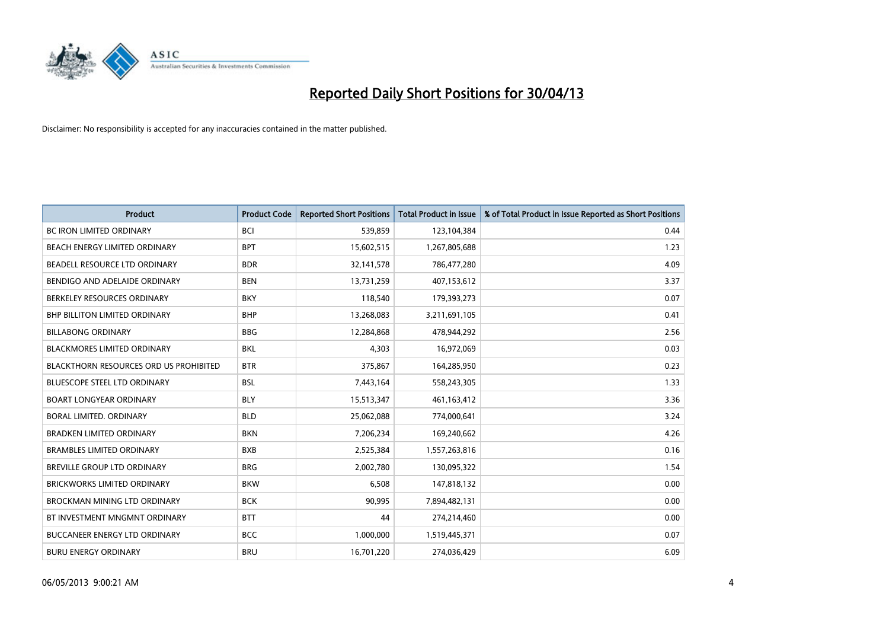

| <b>Product</b>                                | <b>Product Code</b> | <b>Reported Short Positions</b> | <b>Total Product in Issue</b> | % of Total Product in Issue Reported as Short Positions |
|-----------------------------------------------|---------------------|---------------------------------|-------------------------------|---------------------------------------------------------|
| <b>BC IRON LIMITED ORDINARY</b>               | <b>BCI</b>          | 539,859                         | 123,104,384                   | 0.44                                                    |
| BEACH ENERGY LIMITED ORDINARY                 | <b>BPT</b>          | 15,602,515                      | 1,267,805,688                 | 1.23                                                    |
| BEADELL RESOURCE LTD ORDINARY                 | <b>BDR</b>          | 32,141,578                      | 786,477,280                   | 4.09                                                    |
| BENDIGO AND ADELAIDE ORDINARY                 | <b>BEN</b>          | 13,731,259                      | 407,153,612                   | 3.37                                                    |
| BERKELEY RESOURCES ORDINARY                   | <b>BKY</b>          | 118,540                         | 179,393,273                   | 0.07                                                    |
| BHP BILLITON LIMITED ORDINARY                 | <b>BHP</b>          | 13,268,083                      | 3,211,691,105                 | 0.41                                                    |
| <b>BILLABONG ORDINARY</b>                     | <b>BBG</b>          | 12,284,868                      | 478,944,292                   | 2.56                                                    |
| BLACKMORES LIMITED ORDINARY                   | <b>BKL</b>          | 4,303                           | 16,972,069                    | 0.03                                                    |
| <b>BLACKTHORN RESOURCES ORD US PROHIBITED</b> | <b>BTR</b>          | 375,867                         | 164,285,950                   | 0.23                                                    |
| <b>BLUESCOPE STEEL LTD ORDINARY</b>           | <b>BSL</b>          | 7,443,164                       | 558,243,305                   | 1.33                                                    |
| <b>BOART LONGYEAR ORDINARY</b>                | <b>BLY</b>          | 15,513,347                      | 461,163,412                   | 3.36                                                    |
| <b>BORAL LIMITED, ORDINARY</b>                | <b>BLD</b>          | 25,062,088                      | 774,000,641                   | 3.24                                                    |
| <b>BRADKEN LIMITED ORDINARY</b>               | <b>BKN</b>          | 7,206,234                       | 169,240,662                   | 4.26                                                    |
| <b>BRAMBLES LIMITED ORDINARY</b>              | <b>BXB</b>          | 2,525,384                       | 1,557,263,816                 | 0.16                                                    |
| <b>BREVILLE GROUP LTD ORDINARY</b>            | <b>BRG</b>          | 2,002,780                       | 130,095,322                   | 1.54                                                    |
| BRICKWORKS LIMITED ORDINARY                   | <b>BKW</b>          | 6,508                           | 147,818,132                   | 0.00                                                    |
| BROCKMAN MINING LTD ORDINARY                  | <b>BCK</b>          | 90,995                          | 7,894,482,131                 | 0.00                                                    |
| BT INVESTMENT MNGMNT ORDINARY                 | <b>BTT</b>          | 44                              | 274,214,460                   | 0.00                                                    |
| <b>BUCCANEER ENERGY LTD ORDINARY</b>          | <b>BCC</b>          | 1,000,000                       | 1,519,445,371                 | 0.07                                                    |
| <b>BURU ENERGY ORDINARY</b>                   | <b>BRU</b>          | 16,701,220                      | 274,036,429                   | 6.09                                                    |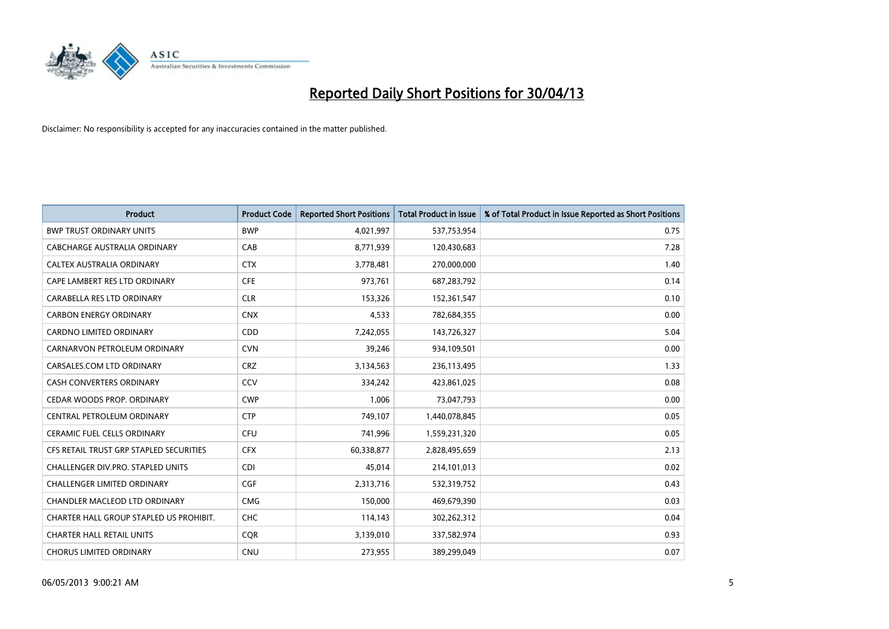

| <b>Product</b>                          | <b>Product Code</b> | <b>Reported Short Positions</b> | <b>Total Product in Issue</b> | % of Total Product in Issue Reported as Short Positions |
|-----------------------------------------|---------------------|---------------------------------|-------------------------------|---------------------------------------------------------|
| <b>BWP TRUST ORDINARY UNITS</b>         | <b>BWP</b>          | 4,021,997                       | 537,753,954                   | 0.75                                                    |
| CABCHARGE AUSTRALIA ORDINARY            | CAB                 | 8,771,939                       | 120,430,683                   | 7.28                                                    |
| <b>CALTEX AUSTRALIA ORDINARY</b>        | <b>CTX</b>          | 3,778,481                       | 270,000,000                   | 1.40                                                    |
| CAPE LAMBERT RES LTD ORDINARY           | <b>CFE</b>          | 973,761                         | 687,283,792                   | 0.14                                                    |
| CARABELLA RES LTD ORDINARY              | <b>CLR</b>          | 153,326                         | 152,361,547                   | 0.10                                                    |
| <b>CARBON ENERGY ORDINARY</b>           | <b>CNX</b>          | 4,533                           | 782,684,355                   | 0.00                                                    |
| <b>CARDNO LIMITED ORDINARY</b>          | CDD                 | 7,242,055                       | 143,726,327                   | 5.04                                                    |
| CARNARVON PETROLEUM ORDINARY            | <b>CVN</b>          | 39,246                          | 934,109,501                   | 0.00                                                    |
| CARSALES.COM LTD ORDINARY               | <b>CRZ</b>          | 3,134,563                       | 236,113,495                   | 1.33                                                    |
| <b>CASH CONVERTERS ORDINARY</b>         | CCV                 | 334,242                         | 423,861,025                   | 0.08                                                    |
| CEDAR WOODS PROP. ORDINARY              | <b>CWP</b>          | 1,006                           | 73,047,793                    | 0.00                                                    |
| CENTRAL PETROLEUM ORDINARY              | <b>CTP</b>          | 749,107                         | 1,440,078,845                 | 0.05                                                    |
| <b>CERAMIC FUEL CELLS ORDINARY</b>      | <b>CFU</b>          | 741,996                         | 1,559,231,320                 | 0.05                                                    |
| CFS RETAIL TRUST GRP STAPLED SECURITIES | <b>CFX</b>          | 60,338,877                      | 2,828,495,659                 | 2.13                                                    |
| CHALLENGER DIV.PRO. STAPLED UNITS       | <b>CDI</b>          | 45,014                          | 214,101,013                   | 0.02                                                    |
| CHALLENGER LIMITED ORDINARY             | <b>CGF</b>          | 2,313,716                       | 532,319,752                   | 0.43                                                    |
| CHANDLER MACLEOD LTD ORDINARY           | <b>CMG</b>          | 150,000                         | 469,679,390                   | 0.03                                                    |
| CHARTER HALL GROUP STAPLED US PROHIBIT. | <b>CHC</b>          | 114,143                         | 302,262,312                   | 0.04                                                    |
| <b>CHARTER HALL RETAIL UNITS</b>        | <b>COR</b>          | 3,139,010                       | 337,582,974                   | 0.93                                                    |
| <b>CHORUS LIMITED ORDINARY</b>          | <b>CNU</b>          | 273,955                         | 389,299,049                   | 0.07                                                    |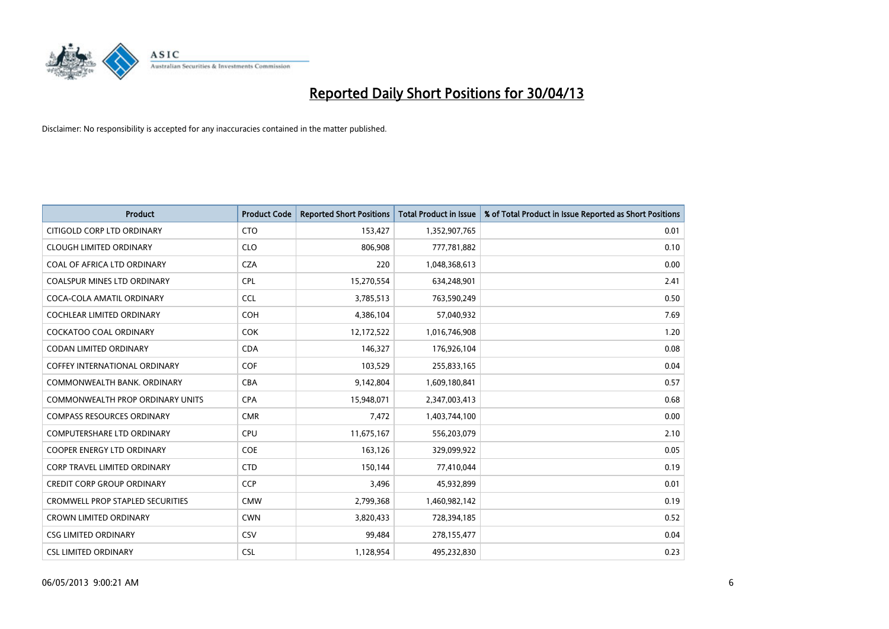

| <b>Product</b>                          | <b>Product Code</b> | <b>Reported Short Positions</b> | <b>Total Product in Issue</b> | % of Total Product in Issue Reported as Short Positions |
|-----------------------------------------|---------------------|---------------------------------|-------------------------------|---------------------------------------------------------|
| CITIGOLD CORP LTD ORDINARY              | <b>CTO</b>          | 153,427                         | 1,352,907,765                 | 0.01                                                    |
| <b>CLOUGH LIMITED ORDINARY</b>          | <b>CLO</b>          | 806,908                         | 777,781,882                   | 0.10                                                    |
| COAL OF AFRICA LTD ORDINARY             | <b>CZA</b>          | 220                             | 1,048,368,613                 | 0.00                                                    |
| <b>COALSPUR MINES LTD ORDINARY</b>      | <b>CPL</b>          | 15,270,554                      | 634,248,901                   | 2.41                                                    |
| COCA-COLA AMATIL ORDINARY               | <b>CCL</b>          | 3,785,513                       | 763,590,249                   | 0.50                                                    |
| <b>COCHLEAR LIMITED ORDINARY</b>        | COH                 | 4,386,104                       | 57,040,932                    | 7.69                                                    |
| <b>COCKATOO COAL ORDINARY</b>           | <b>COK</b>          | 12,172,522                      | 1,016,746,908                 | 1.20                                                    |
| CODAN LIMITED ORDINARY                  | <b>CDA</b>          | 146,327                         | 176,926,104                   | 0.08                                                    |
| <b>COFFEY INTERNATIONAL ORDINARY</b>    | <b>COF</b>          | 103,529                         | 255,833,165                   | 0.04                                                    |
| COMMONWEALTH BANK, ORDINARY             | <b>CBA</b>          | 9,142,804                       | 1,609,180,841                 | 0.57                                                    |
| COMMONWEALTH PROP ORDINARY UNITS        | <b>CPA</b>          | 15,948,071                      | 2,347,003,413                 | 0.68                                                    |
| <b>COMPASS RESOURCES ORDINARY</b>       | <b>CMR</b>          | 7,472                           | 1,403,744,100                 | 0.00                                                    |
| <b>COMPUTERSHARE LTD ORDINARY</b>       | <b>CPU</b>          | 11,675,167                      | 556,203,079                   | 2.10                                                    |
| <b>COOPER ENERGY LTD ORDINARY</b>       | <b>COE</b>          | 163,126                         | 329,099,922                   | 0.05                                                    |
| <b>CORP TRAVEL LIMITED ORDINARY</b>     | <b>CTD</b>          | 150,144                         | 77,410,044                    | 0.19                                                    |
| <b>CREDIT CORP GROUP ORDINARY</b>       | <b>CCP</b>          | 3,496                           | 45,932,899                    | 0.01                                                    |
| <b>CROMWELL PROP STAPLED SECURITIES</b> | <b>CMW</b>          | 2,799,368                       | 1,460,982,142                 | 0.19                                                    |
| <b>CROWN LIMITED ORDINARY</b>           | <b>CWN</b>          | 3,820,433                       | 728,394,185                   | 0.52                                                    |
| <b>CSG LIMITED ORDINARY</b>             | CSV                 | 99,484                          | 278,155,477                   | 0.04                                                    |
| <b>CSL LIMITED ORDINARY</b>             | <b>CSL</b>          | 1,128,954                       | 495,232,830                   | 0.23                                                    |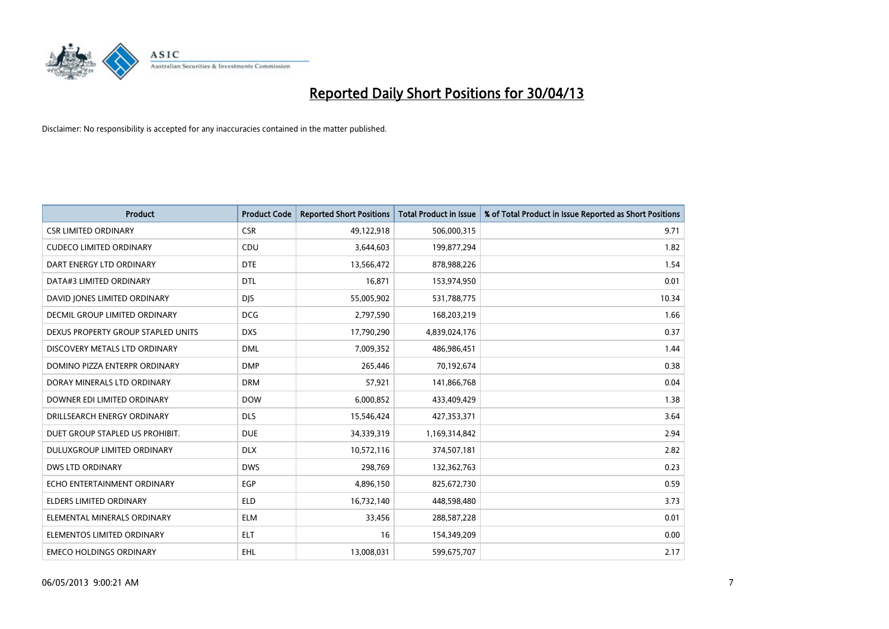

| <b>Product</b>                     | <b>Product Code</b> | <b>Reported Short Positions</b> | <b>Total Product in Issue</b> | % of Total Product in Issue Reported as Short Positions |
|------------------------------------|---------------------|---------------------------------|-------------------------------|---------------------------------------------------------|
| <b>CSR LIMITED ORDINARY</b>        | <b>CSR</b>          | 49,122,918                      | 506,000,315                   | 9.71                                                    |
| <b>CUDECO LIMITED ORDINARY</b>     | <b>CDU</b>          | 3,644,603                       | 199,877,294                   | 1.82                                                    |
| DART ENERGY LTD ORDINARY           | <b>DTE</b>          | 13,566,472                      | 878,988,226                   | 1.54                                                    |
| DATA#3 LIMITED ORDINARY            | <b>DTL</b>          | 16,871                          | 153,974,950                   | 0.01                                                    |
| DAVID JONES LIMITED ORDINARY       | <b>DJS</b>          | 55,005,902                      | 531,788,775                   | 10.34                                                   |
| DECMIL GROUP LIMITED ORDINARY      | <b>DCG</b>          | 2,797,590                       | 168,203,219                   | 1.66                                                    |
| DEXUS PROPERTY GROUP STAPLED UNITS | <b>DXS</b>          | 17,790,290                      | 4,839,024,176                 | 0.37                                                    |
| DISCOVERY METALS LTD ORDINARY      | <b>DML</b>          | 7,009,352                       | 486,986,451                   | 1.44                                                    |
| DOMINO PIZZA ENTERPR ORDINARY      | <b>DMP</b>          | 265,446                         | 70,192,674                    | 0.38                                                    |
| DORAY MINERALS LTD ORDINARY        | <b>DRM</b>          | 57,921                          | 141,866,768                   | 0.04                                                    |
| DOWNER EDI LIMITED ORDINARY        | <b>DOW</b>          | 6,000,852                       | 433,409,429                   | 1.38                                                    |
| DRILLSEARCH ENERGY ORDINARY        | <b>DLS</b>          | 15,546,424                      | 427,353,371                   | 3.64                                                    |
| DUET GROUP STAPLED US PROHIBIT.    | <b>DUE</b>          | 34,339,319                      | 1,169,314,842                 | 2.94                                                    |
| DULUXGROUP LIMITED ORDINARY        | <b>DLX</b>          | 10,572,116                      | 374,507,181                   | 2.82                                                    |
| DWS LTD ORDINARY                   | <b>DWS</b>          | 298,769                         | 132,362,763                   | 0.23                                                    |
| ECHO ENTERTAINMENT ORDINARY        | <b>EGP</b>          | 4,896,150                       | 825,672,730                   | 0.59                                                    |
| ELDERS LIMITED ORDINARY            | <b>ELD</b>          | 16,732,140                      | 448,598,480                   | 3.73                                                    |
| ELEMENTAL MINERALS ORDINARY        | <b>ELM</b>          | 33,456                          | 288,587,228                   | 0.01                                                    |
| ELEMENTOS LIMITED ORDINARY         | <b>ELT</b>          | 16                              | 154,349,209                   | 0.00                                                    |
| <b>EMECO HOLDINGS ORDINARY</b>     | <b>EHL</b>          | 13,008,031                      | 599,675,707                   | 2.17                                                    |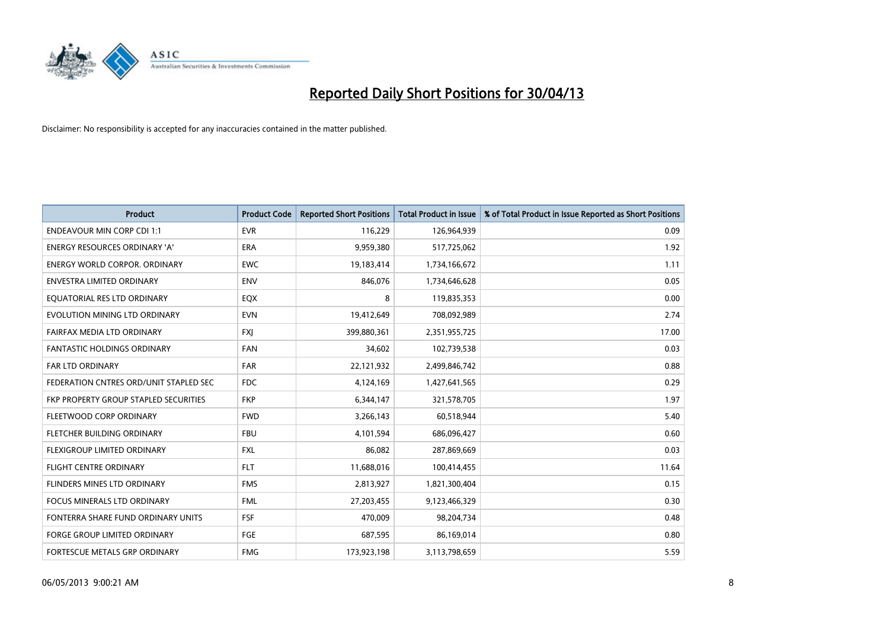

| <b>Product</b>                         | <b>Product Code</b> | <b>Reported Short Positions</b> | <b>Total Product in Issue</b> | % of Total Product in Issue Reported as Short Positions |
|----------------------------------------|---------------------|---------------------------------|-------------------------------|---------------------------------------------------------|
| <b>ENDEAVOUR MIN CORP CDI 1:1</b>      | <b>EVR</b>          | 116,229                         | 126,964,939                   | 0.09                                                    |
| <b>ENERGY RESOURCES ORDINARY 'A'</b>   | <b>ERA</b>          | 9,959,380                       | 517,725,062                   | 1.92                                                    |
| <b>ENERGY WORLD CORPOR, ORDINARY</b>   | <b>EWC</b>          | 19,183,414                      | 1,734,166,672                 | 1.11                                                    |
| ENVESTRA LIMITED ORDINARY              | <b>ENV</b>          | 846,076                         | 1,734,646,628                 | 0.05                                                    |
| EQUATORIAL RES LTD ORDINARY            | EQX                 | 8                               | 119,835,353                   | 0.00                                                    |
| EVOLUTION MINING LTD ORDINARY          | <b>EVN</b>          | 19,412,649                      | 708,092,989                   | 2.74                                                    |
| FAIRFAX MEDIA LTD ORDINARY             | <b>FXI</b>          | 399,880,361                     | 2,351,955,725                 | 17.00                                                   |
| <b>FANTASTIC HOLDINGS ORDINARY</b>     | <b>FAN</b>          | 34,602                          | 102,739,538                   | 0.03                                                    |
| <b>FAR LTD ORDINARY</b>                | <b>FAR</b>          | 22,121,932                      | 2,499,846,742                 | 0.88                                                    |
| FEDERATION CNTRES ORD/UNIT STAPLED SEC | <b>FDC</b>          | 4,124,169                       | 1,427,641,565                 | 0.29                                                    |
| FKP PROPERTY GROUP STAPLED SECURITIES  | <b>FKP</b>          | 6,344,147                       | 321,578,705                   | 1.97                                                    |
| FLEETWOOD CORP ORDINARY                | <b>FWD</b>          | 3,266,143                       | 60,518,944                    | 5.40                                                    |
| FLETCHER BUILDING ORDINARY             | <b>FBU</b>          | 4,101,594                       | 686,096,427                   | 0.60                                                    |
| FLEXIGROUP LIMITED ORDINARY            | <b>FXL</b>          | 86,082                          | 287,869,669                   | 0.03                                                    |
| <b>FLIGHT CENTRE ORDINARY</b>          | <b>FLT</b>          | 11,688,016                      | 100,414,455                   | 11.64                                                   |
| FLINDERS MINES LTD ORDINARY            | <b>FMS</b>          | 2,813,927                       | 1,821,300,404                 | 0.15                                                    |
| FOCUS MINERALS LTD ORDINARY            | <b>FML</b>          | 27,203,455                      | 9,123,466,329                 | 0.30                                                    |
| FONTERRA SHARE FUND ORDINARY UNITS     | <b>FSF</b>          | 470,009                         | 98,204,734                    | 0.48                                                    |
| FORGE GROUP LIMITED ORDINARY           | FGE                 | 687,595                         | 86,169,014                    | 0.80                                                    |
| FORTESCUE METALS GRP ORDINARY          | <b>FMG</b>          | 173,923,198                     | 3,113,798,659                 | 5.59                                                    |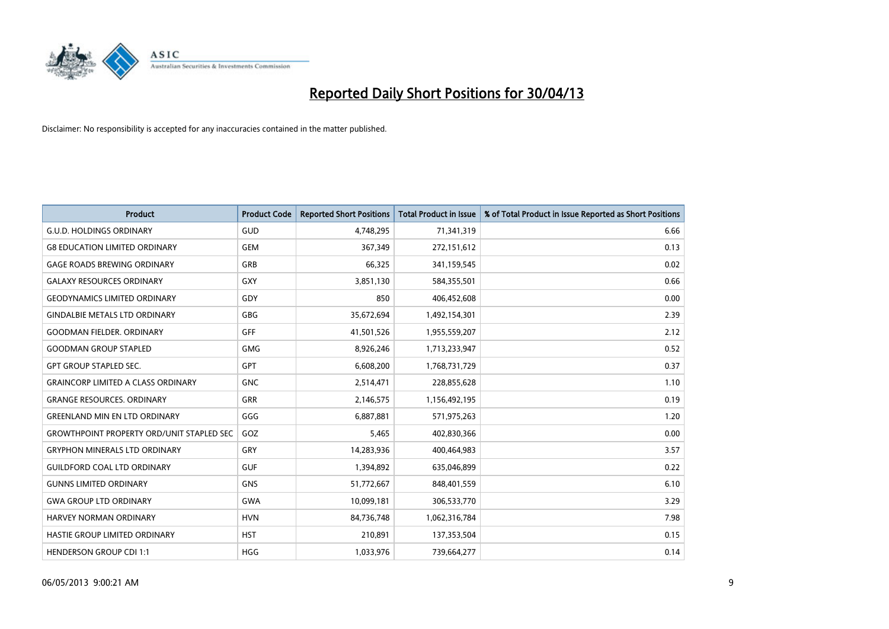

| <b>Product</b>                                   | <b>Product Code</b> | <b>Reported Short Positions</b> | <b>Total Product in Issue</b> | % of Total Product in Issue Reported as Short Positions |
|--------------------------------------------------|---------------------|---------------------------------|-------------------------------|---------------------------------------------------------|
| <b>G.U.D. HOLDINGS ORDINARY</b>                  | GUD                 | 4,748,295                       | 71,341,319                    | 6.66                                                    |
| <b>G8 EDUCATION LIMITED ORDINARY</b>             | <b>GEM</b>          | 367,349                         | 272,151,612                   | 0.13                                                    |
| <b>GAGE ROADS BREWING ORDINARY</b>               | GRB                 | 66,325                          | 341,159,545                   | 0.02                                                    |
| <b>GALAXY RESOURCES ORDINARY</b>                 | GXY                 | 3,851,130                       | 584,355,501                   | 0.66                                                    |
| <b>GEODYNAMICS LIMITED ORDINARY</b>              | GDY                 | 850                             | 406,452,608                   | 0.00                                                    |
| <b>GINDALBIE METALS LTD ORDINARY</b>             | <b>GBG</b>          | 35,672,694                      | 1,492,154,301                 | 2.39                                                    |
| <b>GOODMAN FIELDER, ORDINARY</b>                 | <b>GFF</b>          | 41,501,526                      | 1,955,559,207                 | 2.12                                                    |
| <b>GOODMAN GROUP STAPLED</b>                     | <b>GMG</b>          | 8,926,246                       | 1,713,233,947                 | 0.52                                                    |
| <b>GPT GROUP STAPLED SEC.</b>                    | GPT                 | 6,608,200                       | 1,768,731,729                 | 0.37                                                    |
| <b>GRAINCORP LIMITED A CLASS ORDINARY</b>        | <b>GNC</b>          | 2,514,471                       | 228,855,628                   | 1.10                                                    |
| <b>GRANGE RESOURCES. ORDINARY</b>                | GRR                 | 2,146,575                       | 1,156,492,195                 | 0.19                                                    |
| <b>GREENLAND MIN EN LTD ORDINARY</b>             | GGG                 | 6,887,881                       | 571,975,263                   | 1.20                                                    |
| <b>GROWTHPOINT PROPERTY ORD/UNIT STAPLED SEC</b> | GOZ                 | 5,465                           | 402,830,366                   | 0.00                                                    |
| <b>GRYPHON MINERALS LTD ORDINARY</b>             | GRY                 | 14,283,936                      | 400,464,983                   | 3.57                                                    |
| <b>GUILDFORD COAL LTD ORDINARY</b>               | <b>GUF</b>          | 1,394,892                       | 635,046,899                   | 0.22                                                    |
| <b>GUNNS LIMITED ORDINARY</b>                    | <b>GNS</b>          | 51,772,667                      | 848,401,559                   | 6.10                                                    |
| <b>GWA GROUP LTD ORDINARY</b>                    | GWA                 | 10,099,181                      | 306,533,770                   | 3.29                                                    |
| <b>HARVEY NORMAN ORDINARY</b>                    | <b>HVN</b>          | 84,736,748                      | 1,062,316,784                 | 7.98                                                    |
| HASTIE GROUP LIMITED ORDINARY                    | <b>HST</b>          | 210,891                         | 137,353,504                   | 0.15                                                    |
| <b>HENDERSON GROUP CDI 1:1</b>                   | <b>HGG</b>          | 1,033,976                       | 739,664,277                   | 0.14                                                    |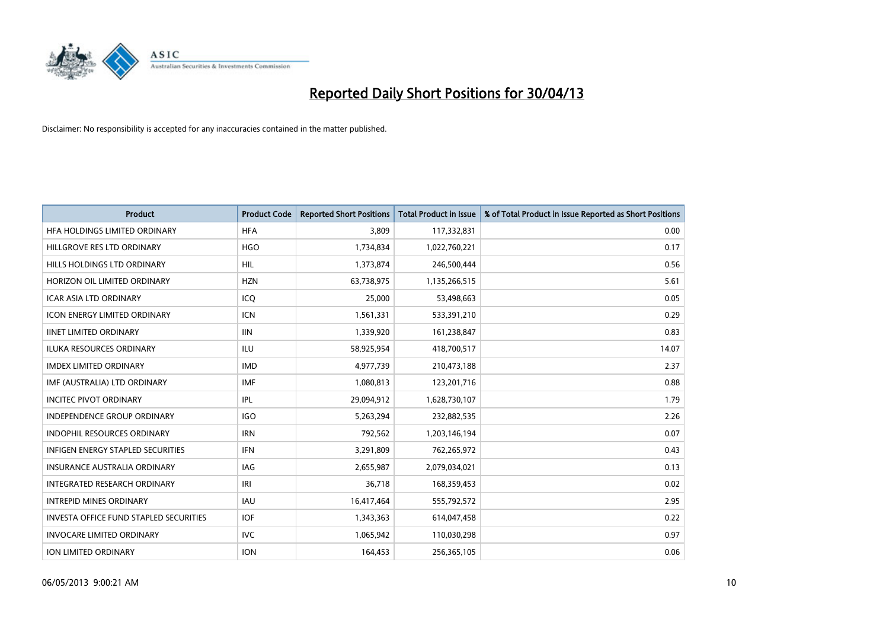

| <b>Product</b>                                | <b>Product Code</b> | <b>Reported Short Positions</b> | <b>Total Product in Issue</b> | % of Total Product in Issue Reported as Short Positions |
|-----------------------------------------------|---------------------|---------------------------------|-------------------------------|---------------------------------------------------------|
| HFA HOLDINGS LIMITED ORDINARY                 | <b>HFA</b>          | 3,809                           | 117,332,831                   | 0.00                                                    |
| HILLGROVE RES LTD ORDINARY                    | <b>HGO</b>          | 1,734,834                       | 1,022,760,221                 | 0.17                                                    |
| HILLS HOLDINGS LTD ORDINARY                   | <b>HIL</b>          | 1,373,874                       | 246,500,444                   | 0.56                                                    |
| HORIZON OIL LIMITED ORDINARY                  | <b>HZN</b>          | 63,738,975                      | 1,135,266,515                 | 5.61                                                    |
| <b>ICAR ASIA LTD ORDINARY</b>                 | ICO                 | 25,000                          | 53,498,663                    | 0.05                                                    |
| <b>ICON ENERGY LIMITED ORDINARY</b>           | <b>ICN</b>          | 1,561,331                       | 533,391,210                   | 0.29                                                    |
| <b>IINET LIMITED ORDINARY</b>                 | <b>IIN</b>          | 1,339,920                       | 161,238,847                   | 0.83                                                    |
| ILUKA RESOURCES ORDINARY                      | <b>ILU</b>          | 58,925,954                      | 418,700,517                   | 14.07                                                   |
| <b>IMDEX LIMITED ORDINARY</b>                 | <b>IMD</b>          | 4,977,739                       | 210,473,188                   | 2.37                                                    |
| IMF (AUSTRALIA) LTD ORDINARY                  | <b>IMF</b>          | 1,080,813                       | 123,201,716                   | 0.88                                                    |
| <b>INCITEC PIVOT ORDINARY</b>                 | IPL                 | 29,094,912                      | 1,628,730,107                 | 1.79                                                    |
| <b>INDEPENDENCE GROUP ORDINARY</b>            | <b>IGO</b>          | 5,263,294                       | 232,882,535                   | 2.26                                                    |
| INDOPHIL RESOURCES ORDINARY                   | <b>IRN</b>          | 792,562                         | 1,203,146,194                 | 0.07                                                    |
| <b>INFIGEN ENERGY STAPLED SECURITIES</b>      | <b>IFN</b>          | 3,291,809                       | 762,265,972                   | 0.43                                                    |
| <b>INSURANCE AUSTRALIA ORDINARY</b>           | <b>IAG</b>          | 2,655,987                       | 2,079,034,021                 | 0.13                                                    |
| <b>INTEGRATED RESEARCH ORDINARY</b>           | IRI                 | 36,718                          | 168,359,453                   | 0.02                                                    |
| <b>INTREPID MINES ORDINARY</b>                | <b>IAU</b>          | 16,417,464                      | 555,792,572                   | 2.95                                                    |
| <b>INVESTA OFFICE FUND STAPLED SECURITIES</b> | IOF                 | 1,343,363                       | 614,047,458                   | 0.22                                                    |
| <b>INVOCARE LIMITED ORDINARY</b>              | <b>IVC</b>          | 1,065,942                       | 110,030,298                   | 0.97                                                    |
| ION LIMITED ORDINARY                          | <b>ION</b>          | 164,453                         | 256,365,105                   | 0.06                                                    |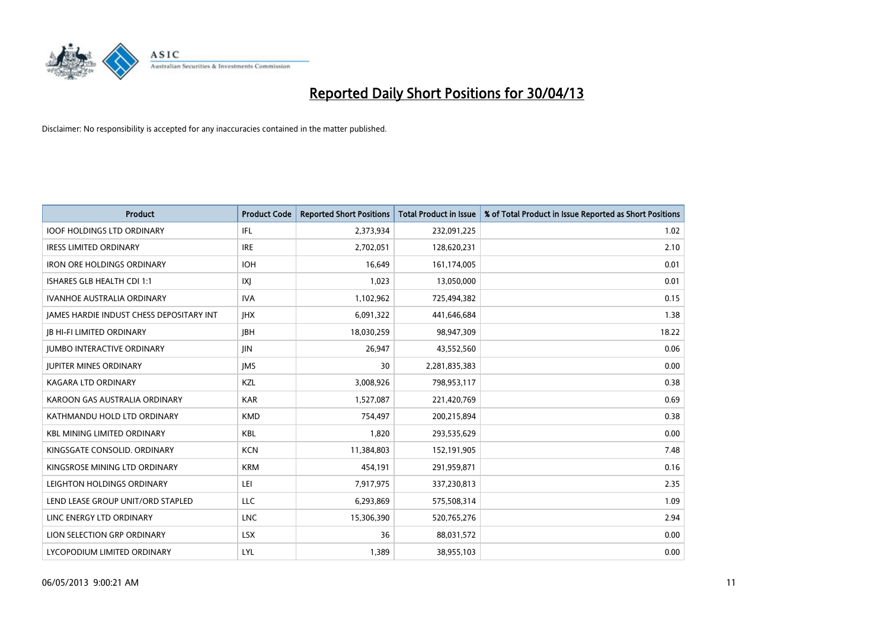

| <b>Product</b>                           | <b>Product Code</b> | <b>Reported Short Positions</b> | <b>Total Product in Issue</b> | % of Total Product in Issue Reported as Short Positions |
|------------------------------------------|---------------------|---------------------------------|-------------------------------|---------------------------------------------------------|
| <b>IOOF HOLDINGS LTD ORDINARY</b>        | IFL                 | 2,373,934                       | 232,091,225                   | 1.02                                                    |
| <b>IRESS LIMITED ORDINARY</b>            | <b>IRE</b>          | 2,702,051                       | 128,620,231                   | 2.10                                                    |
| <b>IRON ORE HOLDINGS ORDINARY</b>        | <b>IOH</b>          | 16,649                          | 161,174,005                   | 0.01                                                    |
| ISHARES GLB HEALTH CDI 1:1               | IXJ                 | 1,023                           | 13,050,000                    | 0.01                                                    |
| <b>IVANHOE AUSTRALIA ORDINARY</b>        | <b>IVA</b>          | 1,102,962                       | 725,494,382                   | 0.15                                                    |
| JAMES HARDIE INDUST CHESS DEPOSITARY INT | <b>IHX</b>          | 6,091,322                       | 441,646,684                   | 1.38                                                    |
| <b>JB HI-FI LIMITED ORDINARY</b>         | <b>IBH</b>          | 18,030,259                      | 98,947,309                    | 18.22                                                   |
| <b>JUMBO INTERACTIVE ORDINARY</b>        | JIN.                | 26,947                          | 43,552,560                    | 0.06                                                    |
| <b>JUPITER MINES ORDINARY</b>            | <b>IMS</b>          | 30                              | 2,281,835,383                 | 0.00                                                    |
| <b>KAGARA LTD ORDINARY</b>               | KZL                 | 3,008,926                       | 798,953,117                   | 0.38                                                    |
| KAROON GAS AUSTRALIA ORDINARY            | <b>KAR</b>          | 1,527,087                       | 221,420,769                   | 0.69                                                    |
| KATHMANDU HOLD LTD ORDINARY              | <b>KMD</b>          | 754,497                         | 200,215,894                   | 0.38                                                    |
| <b>KBL MINING LIMITED ORDINARY</b>       | <b>KBL</b>          | 1,820                           | 293,535,629                   | 0.00                                                    |
| KINGSGATE CONSOLID. ORDINARY             | <b>KCN</b>          | 11,384,803                      | 152,191,905                   | 7.48                                                    |
| KINGSROSE MINING LTD ORDINARY            | <b>KRM</b>          | 454,191                         | 291,959,871                   | 0.16                                                    |
| LEIGHTON HOLDINGS ORDINARY               | LEI                 | 7,917,975                       | 337,230,813                   | 2.35                                                    |
| LEND LEASE GROUP UNIT/ORD STAPLED        | LLC                 | 6,293,869                       | 575,508,314                   | 1.09                                                    |
| LINC ENERGY LTD ORDINARY                 | <b>LNC</b>          | 15,306,390                      | 520,765,276                   | 2.94                                                    |
| LION SELECTION GRP ORDINARY              | <b>LSX</b>          | 36                              | 88,031,572                    | 0.00                                                    |
| LYCOPODIUM LIMITED ORDINARY              | LYL                 | 1,389                           | 38,955,103                    | 0.00                                                    |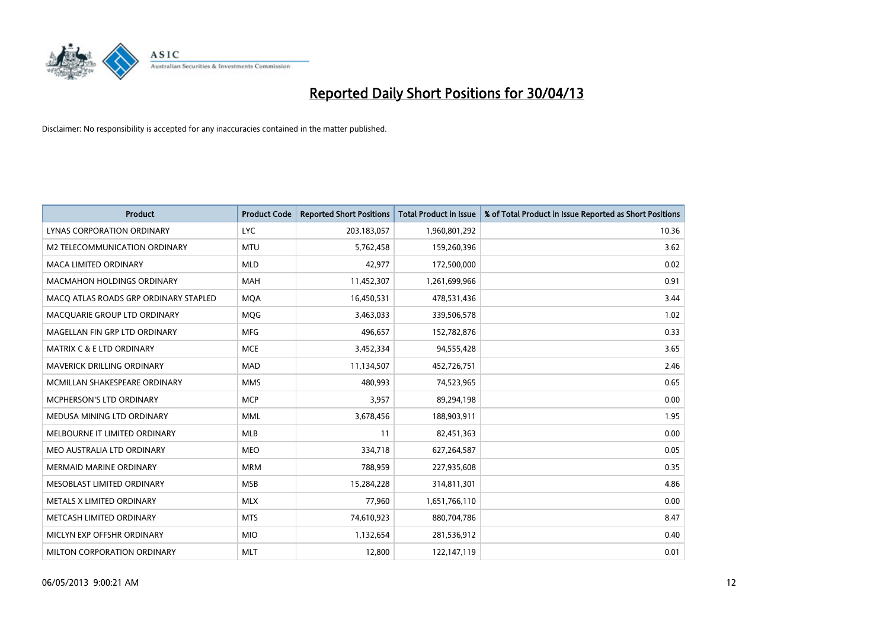

| <b>Product</b>                        | <b>Product Code</b> | <b>Reported Short Positions</b> | <b>Total Product in Issue</b> | % of Total Product in Issue Reported as Short Positions |
|---------------------------------------|---------------------|---------------------------------|-------------------------------|---------------------------------------------------------|
| LYNAS CORPORATION ORDINARY            | <b>LYC</b>          | 203, 183, 057                   | 1,960,801,292                 | 10.36                                                   |
| M2 TELECOMMUNICATION ORDINARY         | <b>MTU</b>          | 5,762,458                       | 159,260,396                   | 3.62                                                    |
| <b>MACA LIMITED ORDINARY</b>          | <b>MLD</b>          | 42,977                          | 172,500,000                   | 0.02                                                    |
| <b>MACMAHON HOLDINGS ORDINARY</b>     | <b>MAH</b>          | 11,452,307                      | 1,261,699,966                 | 0.91                                                    |
| MACO ATLAS ROADS GRP ORDINARY STAPLED | <b>MOA</b>          | 16,450,531                      | 478,531,436                   | 3.44                                                    |
| MACQUARIE GROUP LTD ORDINARY          | MQG                 | 3,463,033                       | 339,506,578                   | 1.02                                                    |
| MAGELLAN FIN GRP LTD ORDINARY         | <b>MFG</b>          | 496,657                         | 152,782,876                   | 0.33                                                    |
| <b>MATRIX C &amp; E LTD ORDINARY</b>  | <b>MCE</b>          | 3,452,334                       | 94,555,428                    | 3.65                                                    |
| <b>MAVERICK DRILLING ORDINARY</b>     | <b>MAD</b>          | 11,134,507                      | 452,726,751                   | 2.46                                                    |
| MCMILLAN SHAKESPEARE ORDINARY         | <b>MMS</b>          | 480,993                         | 74,523,965                    | 0.65                                                    |
| MCPHERSON'S LTD ORDINARY              | <b>MCP</b>          | 3,957                           | 89,294,198                    | 0.00                                                    |
| MEDUSA MINING LTD ORDINARY            | <b>MML</b>          | 3,678,456                       | 188,903,911                   | 1.95                                                    |
| MELBOURNE IT LIMITED ORDINARY         | <b>MLB</b>          | 11                              | 82,451,363                    | 0.00                                                    |
| MEO AUSTRALIA LTD ORDINARY            | <b>MEO</b>          | 334,718                         | 627,264,587                   | 0.05                                                    |
| <b>MERMAID MARINE ORDINARY</b>        | <b>MRM</b>          | 788,959                         | 227,935,608                   | 0.35                                                    |
| MESOBLAST LIMITED ORDINARY            | <b>MSB</b>          | 15,284,228                      | 314,811,301                   | 4.86                                                    |
| METALS X LIMITED ORDINARY             | <b>MLX</b>          | 77,960                          | 1,651,766,110                 | 0.00                                                    |
| METCASH LIMITED ORDINARY              | <b>MTS</b>          | 74,610,923                      | 880,704,786                   | 8.47                                                    |
| MICLYN EXP OFFSHR ORDINARY            | <b>MIO</b>          | 1,132,654                       | 281,536,912                   | 0.40                                                    |
| MILTON CORPORATION ORDINARY           | <b>MLT</b>          | 12,800                          | 122,147,119                   | 0.01                                                    |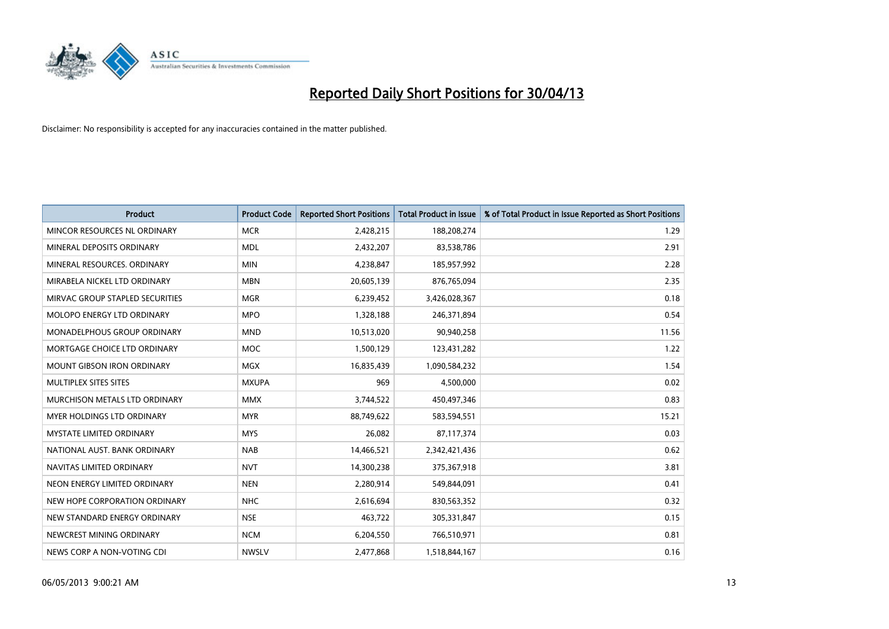

| <b>Product</b>                    | <b>Product Code</b> | <b>Reported Short Positions</b> | <b>Total Product in Issue</b> | % of Total Product in Issue Reported as Short Positions |
|-----------------------------------|---------------------|---------------------------------|-------------------------------|---------------------------------------------------------|
| MINCOR RESOURCES NL ORDINARY      | <b>MCR</b>          | 2,428,215                       | 188,208,274                   | 1.29                                                    |
| MINERAL DEPOSITS ORDINARY         | <b>MDL</b>          | 2,432,207                       | 83,538,786                    | 2.91                                                    |
| MINERAL RESOURCES, ORDINARY       | <b>MIN</b>          | 4,238,847                       | 185,957,992                   | 2.28                                                    |
| MIRABELA NICKEL LTD ORDINARY      | <b>MBN</b>          | 20,605,139                      | 876,765,094                   | 2.35                                                    |
| MIRVAC GROUP STAPLED SECURITIES   | <b>MGR</b>          | 6,239,452                       | 3,426,028,367                 | 0.18                                                    |
| MOLOPO ENERGY LTD ORDINARY        | <b>MPO</b>          | 1,328,188                       | 246,371,894                   | 0.54                                                    |
| MONADELPHOUS GROUP ORDINARY       | <b>MND</b>          | 10,513,020                      | 90,940,258                    | 11.56                                                   |
| MORTGAGE CHOICE LTD ORDINARY      | MOC                 | 1,500,129                       | 123,431,282                   | 1.22                                                    |
| <b>MOUNT GIBSON IRON ORDINARY</b> | <b>MGX</b>          | 16,835,439                      | 1,090,584,232                 | 1.54                                                    |
| MULTIPLEX SITES SITES             | <b>MXUPA</b>        | 969                             | 4,500,000                     | 0.02                                                    |
| MURCHISON METALS LTD ORDINARY     | <b>MMX</b>          | 3,744,522                       | 450,497,346                   | 0.83                                                    |
| MYER HOLDINGS LTD ORDINARY        | <b>MYR</b>          | 88,749,622                      | 583,594,551                   | 15.21                                                   |
| <b>MYSTATE LIMITED ORDINARY</b>   | <b>MYS</b>          | 26,082                          | 87,117,374                    | 0.03                                                    |
| NATIONAL AUST, BANK ORDINARY      | <b>NAB</b>          | 14,466,521                      | 2,342,421,436                 | 0.62                                                    |
| NAVITAS LIMITED ORDINARY          | <b>NVT</b>          | 14,300,238                      | 375,367,918                   | 3.81                                                    |
| NEON ENERGY LIMITED ORDINARY      | <b>NEN</b>          | 2,280,914                       | 549,844,091                   | 0.41                                                    |
| NEW HOPE CORPORATION ORDINARY     | <b>NHC</b>          | 2,616,694                       | 830,563,352                   | 0.32                                                    |
| NEW STANDARD ENERGY ORDINARY      | <b>NSE</b>          | 463,722                         | 305,331,847                   | 0.15                                                    |
| NEWCREST MINING ORDINARY          | <b>NCM</b>          | 6,204,550                       | 766,510,971                   | 0.81                                                    |
| NEWS CORP A NON-VOTING CDI        | <b>NWSLV</b>        | 2,477,868                       | 1,518,844,167                 | 0.16                                                    |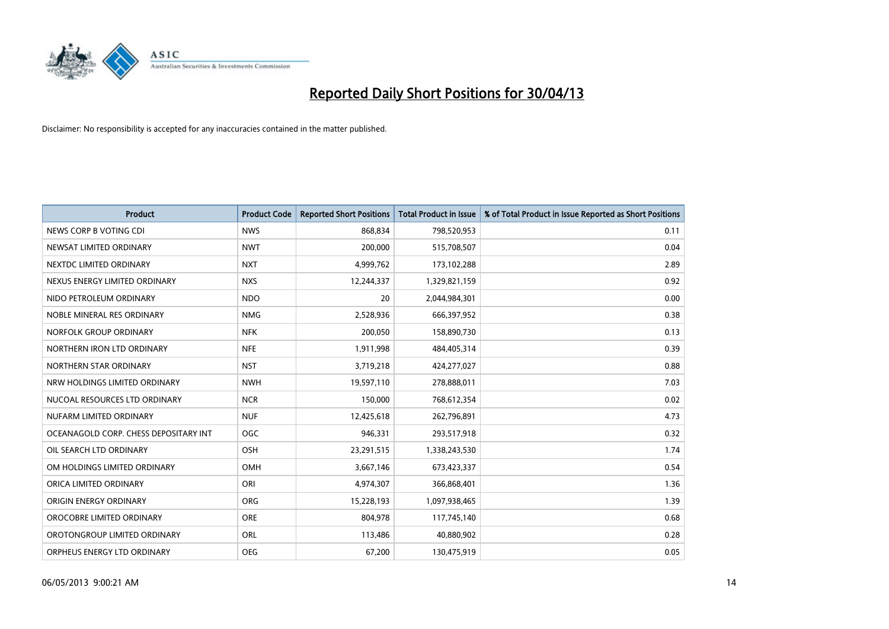

| <b>Product</b>                        | <b>Product Code</b> | <b>Reported Short Positions</b> | <b>Total Product in Issue</b> | % of Total Product in Issue Reported as Short Positions |
|---------------------------------------|---------------------|---------------------------------|-------------------------------|---------------------------------------------------------|
| NEWS CORP B VOTING CDI                | <b>NWS</b>          | 868,834                         | 798,520,953                   | 0.11                                                    |
| NEWSAT LIMITED ORDINARY               | <b>NWT</b>          | 200,000                         | 515,708,507                   | 0.04                                                    |
| NEXTDC LIMITED ORDINARY               | <b>NXT</b>          | 4,999,762                       | 173,102,288                   | 2.89                                                    |
| NEXUS ENERGY LIMITED ORDINARY         | <b>NXS</b>          | 12,244,337                      | 1,329,821,159                 | 0.92                                                    |
| NIDO PETROLEUM ORDINARY               | <b>NDO</b>          | 20                              | 2,044,984,301                 | 0.00                                                    |
| NOBLE MINERAL RES ORDINARY            | <b>NMG</b>          | 2,528,936                       | 666,397,952                   | 0.38                                                    |
| NORFOLK GROUP ORDINARY                | <b>NFK</b>          | 200,050                         | 158,890,730                   | 0.13                                                    |
| NORTHERN IRON LTD ORDINARY            | <b>NFE</b>          | 1,911,998                       | 484,405,314                   | 0.39                                                    |
| NORTHERN STAR ORDINARY                | <b>NST</b>          | 3,719,218                       | 424,277,027                   | 0.88                                                    |
| NRW HOLDINGS LIMITED ORDINARY         | <b>NWH</b>          | 19,597,110                      | 278,888,011                   | 7.03                                                    |
| NUCOAL RESOURCES LTD ORDINARY         | <b>NCR</b>          | 150,000                         | 768,612,354                   | 0.02                                                    |
| NUFARM LIMITED ORDINARY               | <b>NUF</b>          | 12,425,618                      | 262,796,891                   | 4.73                                                    |
| OCEANAGOLD CORP. CHESS DEPOSITARY INT | <b>OGC</b>          | 946,331                         | 293,517,918                   | 0.32                                                    |
| OIL SEARCH LTD ORDINARY               | OSH                 | 23,291,515                      | 1,338,243,530                 | 1.74                                                    |
| OM HOLDINGS LIMITED ORDINARY          | <b>OMH</b>          | 3,667,146                       | 673,423,337                   | 0.54                                                    |
| ORICA LIMITED ORDINARY                | ORI                 | 4,974,307                       | 366,868,401                   | 1.36                                                    |
| ORIGIN ENERGY ORDINARY                | ORG                 | 15,228,193                      | 1,097,938,465                 | 1.39                                                    |
| OROCOBRE LIMITED ORDINARY             | <b>ORE</b>          | 804,978                         | 117,745,140                   | 0.68                                                    |
| OROTONGROUP LIMITED ORDINARY          | ORL                 | 113,486                         | 40,880,902                    | 0.28                                                    |
| ORPHEUS ENERGY LTD ORDINARY           | <b>OEG</b>          | 67,200                          | 130,475,919                   | 0.05                                                    |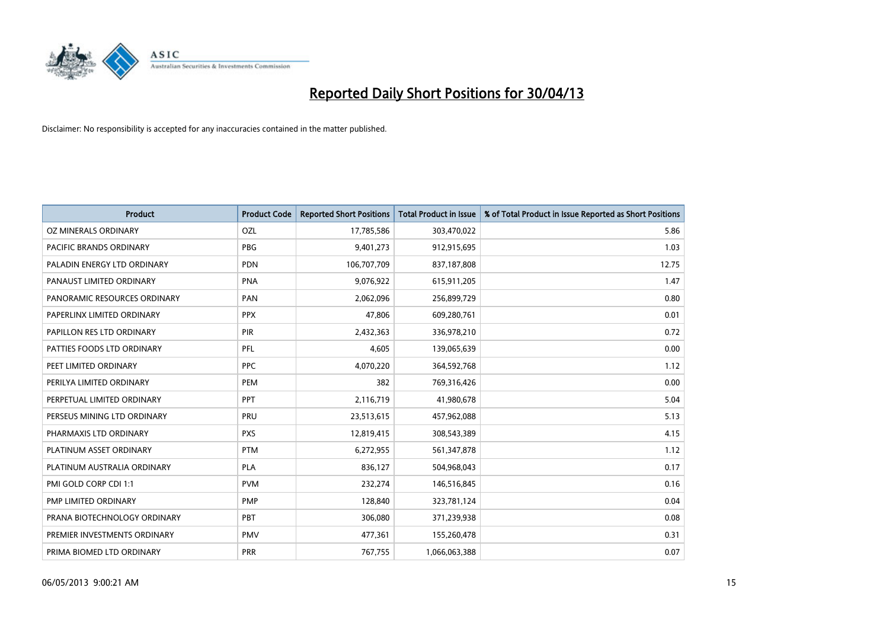

| <b>Product</b>               | <b>Product Code</b> | <b>Reported Short Positions</b> | <b>Total Product in Issue</b> | % of Total Product in Issue Reported as Short Positions |
|------------------------------|---------------------|---------------------------------|-------------------------------|---------------------------------------------------------|
| OZ MINERALS ORDINARY         | OZL                 | 17,785,586                      | 303,470,022                   | 5.86                                                    |
| PACIFIC BRANDS ORDINARY      | <b>PBG</b>          | 9,401,273                       | 912,915,695                   | 1.03                                                    |
| PALADIN ENERGY LTD ORDINARY  | <b>PDN</b>          | 106,707,709                     | 837,187,808                   | 12.75                                                   |
| PANAUST LIMITED ORDINARY     | <b>PNA</b>          | 9,076,922                       | 615,911,205                   | 1.47                                                    |
| PANORAMIC RESOURCES ORDINARY | PAN                 | 2,062,096                       | 256,899,729                   | 0.80                                                    |
| PAPERLINX LIMITED ORDINARY   | <b>PPX</b>          | 47,806                          | 609,280,761                   | 0.01                                                    |
| PAPILLON RES LTD ORDINARY    | <b>PIR</b>          | 2,432,363                       | 336,978,210                   | 0.72                                                    |
| PATTIES FOODS LTD ORDINARY   | PFL                 | 4,605                           | 139,065,639                   | 0.00                                                    |
| PEET LIMITED ORDINARY        | <b>PPC</b>          | 4,070,220                       | 364,592,768                   | 1.12                                                    |
| PERILYA LIMITED ORDINARY     | PEM                 | 382                             | 769,316,426                   | 0.00                                                    |
| PERPETUAL LIMITED ORDINARY   | PPT                 | 2,116,719                       | 41,980,678                    | 5.04                                                    |
| PERSEUS MINING LTD ORDINARY  | PRU                 | 23,513,615                      | 457,962,088                   | 5.13                                                    |
| PHARMAXIS LTD ORDINARY       | <b>PXS</b>          | 12,819,415                      | 308,543,389                   | 4.15                                                    |
| PLATINUM ASSET ORDINARY      | <b>PTM</b>          | 6,272,955                       | 561,347,878                   | 1.12                                                    |
| PLATINUM AUSTRALIA ORDINARY  | <b>PLA</b>          | 836,127                         | 504,968,043                   | 0.17                                                    |
| PMI GOLD CORP CDI 1:1        | <b>PVM</b>          | 232,274                         | 146,516,845                   | 0.16                                                    |
| PMP LIMITED ORDINARY         | <b>PMP</b>          | 128,840                         | 323,781,124                   | 0.04                                                    |
| PRANA BIOTECHNOLOGY ORDINARY | <b>PBT</b>          | 306,080                         | 371,239,938                   | 0.08                                                    |
| PREMIER INVESTMENTS ORDINARY | <b>PMV</b>          | 477,361                         | 155,260,478                   | 0.31                                                    |
| PRIMA BIOMED LTD ORDINARY    | <b>PRR</b>          | 767,755                         | 1,066,063,388                 | 0.07                                                    |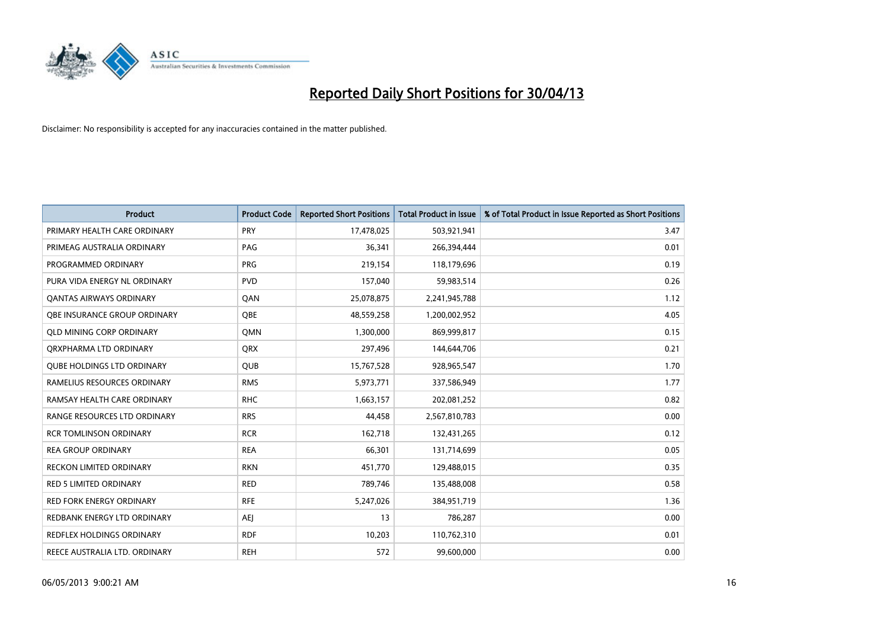

| <b>Product</b>                    | <b>Product Code</b> | <b>Reported Short Positions</b> | <b>Total Product in Issue</b> | % of Total Product in Issue Reported as Short Positions |
|-----------------------------------|---------------------|---------------------------------|-------------------------------|---------------------------------------------------------|
| PRIMARY HEALTH CARE ORDINARY      | <b>PRY</b>          | 17,478,025                      | 503,921,941                   | 3.47                                                    |
| PRIMEAG AUSTRALIA ORDINARY        | PAG                 | 36,341                          | 266,394,444                   | 0.01                                                    |
| PROGRAMMED ORDINARY               | <b>PRG</b>          | 219,154                         | 118,179,696                   | 0.19                                                    |
| PURA VIDA ENERGY NL ORDINARY      | <b>PVD</b>          | 157,040                         | 59,983,514                    | 0.26                                                    |
| <b>QANTAS AIRWAYS ORDINARY</b>    | QAN                 | 25,078,875                      | 2,241,945,788                 | 1.12                                                    |
| OBE INSURANCE GROUP ORDINARY      | <b>OBE</b>          | 48,559,258                      | 1,200,002,952                 | 4.05                                                    |
| <b>QLD MINING CORP ORDINARY</b>   | QMN                 | 1,300,000                       | 869,999,817                   | 0.15                                                    |
| ORXPHARMA LTD ORDINARY            | QRX                 | 297,496                         | 144,644,706                   | 0.21                                                    |
| <b>OUBE HOLDINGS LTD ORDINARY</b> | <b>QUB</b>          | 15,767,528                      | 928,965,547                   | 1.70                                                    |
| RAMELIUS RESOURCES ORDINARY       | <b>RMS</b>          | 5,973,771                       | 337,586,949                   | 1.77                                                    |
| RAMSAY HEALTH CARE ORDINARY       | <b>RHC</b>          | 1,663,157                       | 202,081,252                   | 0.82                                                    |
| RANGE RESOURCES LTD ORDINARY      | <b>RRS</b>          | 44,458                          | 2,567,810,783                 | 0.00                                                    |
| <b>RCR TOMLINSON ORDINARY</b>     | <b>RCR</b>          | 162,718                         | 132,431,265                   | 0.12                                                    |
| <b>REA GROUP ORDINARY</b>         | <b>REA</b>          | 66,301                          | 131,714,699                   | 0.05                                                    |
| <b>RECKON LIMITED ORDINARY</b>    | <b>RKN</b>          | 451,770                         | 129,488,015                   | 0.35                                                    |
| <b>RED 5 LIMITED ORDINARY</b>     | <b>RED</b>          | 789,746                         | 135,488,008                   | 0.58                                                    |
| <b>RED FORK ENERGY ORDINARY</b>   | <b>RFE</b>          | 5,247,026                       | 384,951,719                   | 1.36                                                    |
| REDBANK ENERGY LTD ORDINARY       | AEJ                 | 13                              | 786,287                       | 0.00                                                    |
| <b>REDFLEX HOLDINGS ORDINARY</b>  | <b>RDF</b>          | 10,203                          | 110,762,310                   | 0.01                                                    |
| REECE AUSTRALIA LTD. ORDINARY     | <b>REH</b>          | 572                             | 99,600,000                    | 0.00                                                    |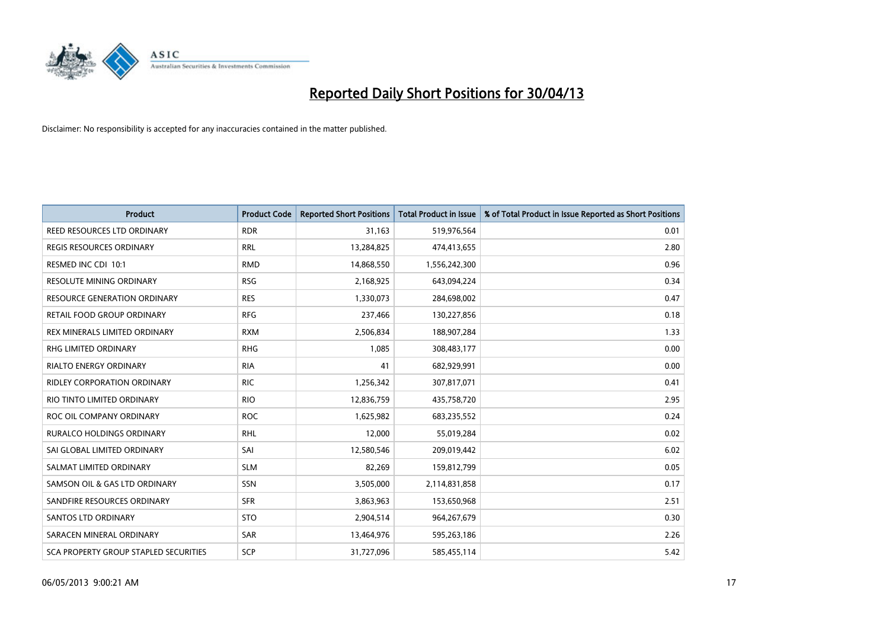

| Product                               | <b>Product Code</b> | <b>Reported Short Positions</b> | <b>Total Product in Issue</b> | % of Total Product in Issue Reported as Short Positions |
|---------------------------------------|---------------------|---------------------------------|-------------------------------|---------------------------------------------------------|
| REED RESOURCES LTD ORDINARY           | <b>RDR</b>          | 31,163                          | 519,976,564                   | 0.01                                                    |
| REGIS RESOURCES ORDINARY              | <b>RRL</b>          | 13,284,825                      | 474,413,655                   | 2.80                                                    |
| RESMED INC CDI 10:1                   | <b>RMD</b>          | 14,868,550                      | 1,556,242,300                 | 0.96                                                    |
| <b>RESOLUTE MINING ORDINARY</b>       | <b>RSG</b>          | 2,168,925                       | 643,094,224                   | 0.34                                                    |
| <b>RESOURCE GENERATION ORDINARY</b>   | <b>RES</b>          | 1,330,073                       | 284,698,002                   | 0.47                                                    |
| RETAIL FOOD GROUP ORDINARY            | <b>RFG</b>          | 237,466                         | 130,227,856                   | 0.18                                                    |
| REX MINERALS LIMITED ORDINARY         | <b>RXM</b>          | 2,506,834                       | 188,907,284                   | 1.33                                                    |
| <b>RHG LIMITED ORDINARY</b>           | <b>RHG</b>          | 1,085                           | 308,483,177                   | 0.00                                                    |
| <b>RIALTO ENERGY ORDINARY</b>         | <b>RIA</b>          | 41                              | 682,929,991                   | 0.00                                                    |
| <b>RIDLEY CORPORATION ORDINARY</b>    | <b>RIC</b>          | 1,256,342                       | 307,817,071                   | 0.41                                                    |
| RIO TINTO LIMITED ORDINARY            | <b>RIO</b>          | 12,836,759                      | 435,758,720                   | 2.95                                                    |
| ROC OIL COMPANY ORDINARY              | <b>ROC</b>          | 1,625,982                       | 683,235,552                   | 0.24                                                    |
| RURALCO HOLDINGS ORDINARY             | <b>RHL</b>          | 12,000                          | 55,019,284                    | 0.02                                                    |
| SAI GLOBAL LIMITED ORDINARY           | SAI                 | 12,580,546                      | 209,019,442                   | 6.02                                                    |
| SALMAT LIMITED ORDINARY               | <b>SLM</b>          | 82,269                          | 159,812,799                   | 0.05                                                    |
| SAMSON OIL & GAS LTD ORDINARY         | SSN                 | 3,505,000                       | 2,114,831,858                 | 0.17                                                    |
| SANDFIRE RESOURCES ORDINARY           | <b>SFR</b>          | 3,863,963                       | 153,650,968                   | 2.51                                                    |
| <b>SANTOS LTD ORDINARY</b>            | <b>STO</b>          | 2,904,514                       | 964,267,679                   | 0.30                                                    |
| SARACEN MINERAL ORDINARY              | SAR                 | 13,464,976                      | 595,263,186                   | 2.26                                                    |
| SCA PROPERTY GROUP STAPLED SECURITIES | SCP                 | 31,727,096                      | 585,455,114                   | 5.42                                                    |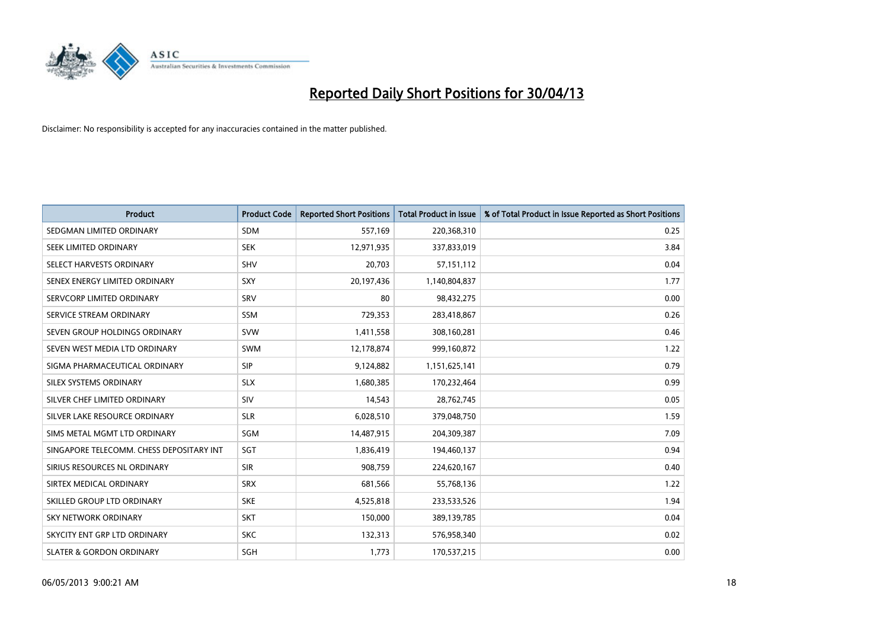

| <b>Product</b>                           | <b>Product Code</b> | <b>Reported Short Positions</b> | <b>Total Product in Issue</b> | % of Total Product in Issue Reported as Short Positions |
|------------------------------------------|---------------------|---------------------------------|-------------------------------|---------------------------------------------------------|
| SEDGMAN LIMITED ORDINARY                 | <b>SDM</b>          | 557,169                         | 220,368,310                   | 0.25                                                    |
| SEEK LIMITED ORDINARY                    | <b>SEK</b>          | 12,971,935                      | 337,833,019                   | 3.84                                                    |
| SELECT HARVESTS ORDINARY                 | <b>SHV</b>          | 20,703                          | 57, 151, 112                  | 0.04                                                    |
| SENEX ENERGY LIMITED ORDINARY            | <b>SXY</b>          | 20,197,436                      | 1,140,804,837                 | 1.77                                                    |
| SERVCORP LIMITED ORDINARY                | SRV                 | 80                              | 98,432,275                    | 0.00                                                    |
| SERVICE STREAM ORDINARY                  | SSM                 | 729,353                         | 283,418,867                   | 0.26                                                    |
| SEVEN GROUP HOLDINGS ORDINARY            | <b>SVW</b>          | 1,411,558                       | 308,160,281                   | 0.46                                                    |
| SEVEN WEST MEDIA LTD ORDINARY            | <b>SWM</b>          | 12,178,874                      | 999,160,872                   | 1.22                                                    |
| SIGMA PHARMACEUTICAL ORDINARY            | <b>SIP</b>          | 9,124,882                       | 1,151,625,141                 | 0.79                                                    |
| SILEX SYSTEMS ORDINARY                   | <b>SLX</b>          | 1,680,385                       | 170,232,464                   | 0.99                                                    |
| SILVER CHEF LIMITED ORDINARY             | <b>SIV</b>          | 14,543                          | 28,762,745                    | 0.05                                                    |
| SILVER LAKE RESOURCE ORDINARY            | <b>SLR</b>          | 6,028,510                       | 379,048,750                   | 1.59                                                    |
| SIMS METAL MGMT LTD ORDINARY             | SGM                 | 14,487,915                      | 204,309,387                   | 7.09                                                    |
| SINGAPORE TELECOMM. CHESS DEPOSITARY INT | SGT                 | 1,836,419                       | 194,460,137                   | 0.94                                                    |
| SIRIUS RESOURCES NL ORDINARY             | <b>SIR</b>          | 908,759                         | 224,620,167                   | 0.40                                                    |
| SIRTEX MEDICAL ORDINARY                  | <b>SRX</b>          | 681,566                         | 55,768,136                    | 1.22                                                    |
| SKILLED GROUP LTD ORDINARY               | <b>SKE</b>          | 4,525,818                       | 233,533,526                   | 1.94                                                    |
| <b>SKY NETWORK ORDINARY</b>              | <b>SKT</b>          | 150,000                         | 389,139,785                   | 0.04                                                    |
| SKYCITY ENT GRP LTD ORDINARY             | <b>SKC</b>          | 132,313                         | 576,958,340                   | 0.02                                                    |
| <b>SLATER &amp; GORDON ORDINARY</b>      | SGH                 | 1,773                           | 170,537,215                   | 0.00                                                    |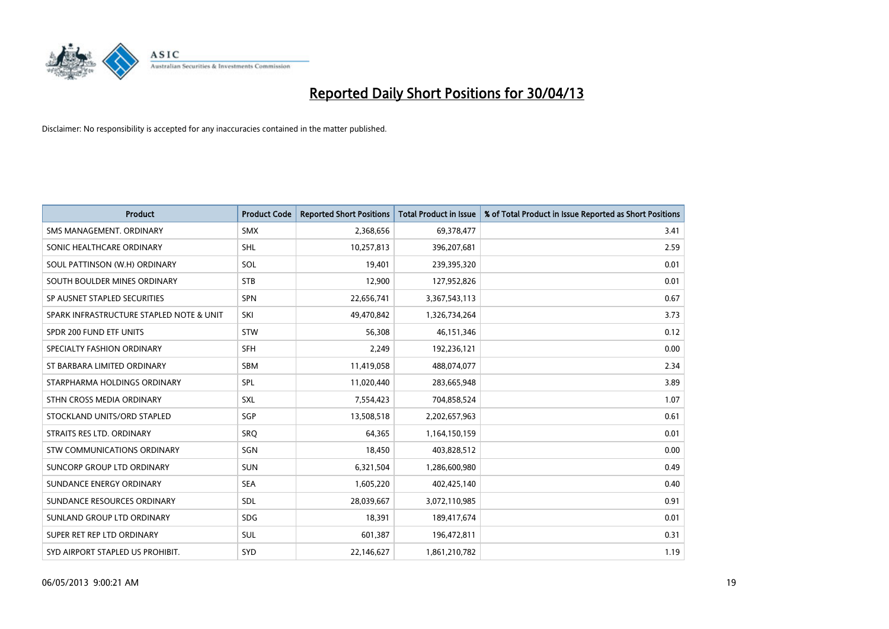

| <b>Product</b>                           | <b>Product Code</b> | <b>Reported Short Positions</b> | <b>Total Product in Issue</b> | % of Total Product in Issue Reported as Short Positions |
|------------------------------------------|---------------------|---------------------------------|-------------------------------|---------------------------------------------------------|
| SMS MANAGEMENT, ORDINARY                 | <b>SMX</b>          | 2,368,656                       | 69,378,477                    | 3.41                                                    |
| SONIC HEALTHCARE ORDINARY                | <b>SHL</b>          | 10,257,813                      | 396,207,681                   | 2.59                                                    |
| SOUL PATTINSON (W.H) ORDINARY            | <b>SOL</b>          | 19,401                          | 239,395,320                   | 0.01                                                    |
| SOUTH BOULDER MINES ORDINARY             | <b>STB</b>          | 12,900                          | 127,952,826                   | 0.01                                                    |
| SP AUSNET STAPLED SECURITIES             | SPN                 | 22,656,741                      | 3,367,543,113                 | 0.67                                                    |
| SPARK INFRASTRUCTURE STAPLED NOTE & UNIT | SKI                 | 49,470,842                      | 1,326,734,264                 | 3.73                                                    |
| SPDR 200 FUND ETF UNITS                  | <b>STW</b>          | 56,308                          | 46,151,346                    | 0.12                                                    |
| SPECIALTY FASHION ORDINARY               | SFH                 | 2,249                           | 192,236,121                   | 0.00                                                    |
| ST BARBARA LIMITED ORDINARY              | <b>SBM</b>          | 11,419,058                      | 488,074,077                   | 2.34                                                    |
| STARPHARMA HOLDINGS ORDINARY             | <b>SPL</b>          | 11,020,440                      | 283,665,948                   | 3.89                                                    |
| STHN CROSS MEDIA ORDINARY                | SXL                 | 7,554,423                       | 704,858,524                   | 1.07                                                    |
| STOCKLAND UNITS/ORD STAPLED              | SGP                 | 13,508,518                      | 2,202,657,963                 | 0.61                                                    |
| STRAITS RES LTD. ORDINARY                | SRO                 | 64,365                          | 1,164,150,159                 | 0.01                                                    |
| STW COMMUNICATIONS ORDINARY              | SGN                 | 18,450                          | 403,828,512                   | 0.00                                                    |
| SUNCORP GROUP LTD ORDINARY               | <b>SUN</b>          | 6,321,504                       | 1,286,600,980                 | 0.49                                                    |
| SUNDANCE ENERGY ORDINARY                 | <b>SEA</b>          | 1,605,220                       | 402,425,140                   | 0.40                                                    |
| SUNDANCE RESOURCES ORDINARY              | SDL                 | 28,039,667                      | 3,072,110,985                 | 0.91                                                    |
| SUNLAND GROUP LTD ORDINARY               | <b>SDG</b>          | 18,391                          | 189,417,674                   | 0.01                                                    |
| SUPER RET REP LTD ORDINARY               | SUL                 | 601,387                         | 196,472,811                   | 0.31                                                    |
| SYD AIRPORT STAPLED US PROHIBIT.         | <b>SYD</b>          | 22,146,627                      | 1,861,210,782                 | 1.19                                                    |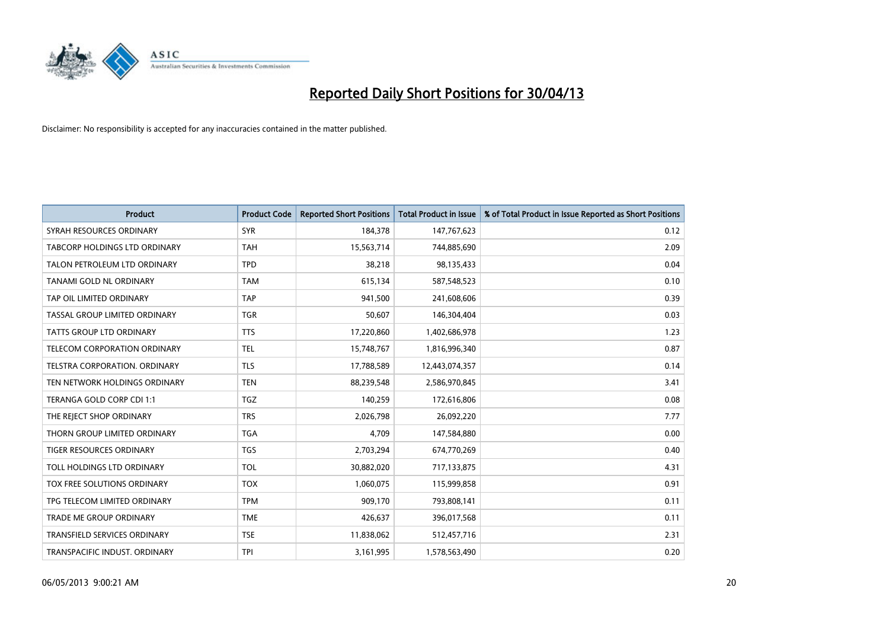

| <b>Product</b>                      | <b>Product Code</b> | <b>Reported Short Positions</b> | <b>Total Product in Issue</b> | % of Total Product in Issue Reported as Short Positions |
|-------------------------------------|---------------------|---------------------------------|-------------------------------|---------------------------------------------------------|
| SYRAH RESOURCES ORDINARY            | <b>SYR</b>          | 184,378                         | 147,767,623                   | 0.12                                                    |
| TABCORP HOLDINGS LTD ORDINARY       | TAH                 | 15,563,714                      | 744,885,690                   | 2.09                                                    |
| TALON PETROLEUM LTD ORDINARY        | <b>TPD</b>          | 38,218                          | 98,135,433                    | 0.04                                                    |
| TANAMI GOLD NL ORDINARY             | <b>TAM</b>          | 615,134                         | 587,548,523                   | 0.10                                                    |
| TAP OIL LIMITED ORDINARY            | <b>TAP</b>          | 941,500                         | 241,608,606                   | 0.39                                                    |
| TASSAL GROUP LIMITED ORDINARY       | <b>TGR</b>          | 50,607                          | 146,304,404                   | 0.03                                                    |
| <b>TATTS GROUP LTD ORDINARY</b>     | <b>TTS</b>          | 17,220,860                      | 1,402,686,978                 | 1.23                                                    |
| TELECOM CORPORATION ORDINARY        | <b>TEL</b>          | 15,748,767                      | 1,816,996,340                 | 0.87                                                    |
| TELSTRA CORPORATION, ORDINARY       | <b>TLS</b>          | 17,788,589                      | 12,443,074,357                | 0.14                                                    |
| TEN NETWORK HOLDINGS ORDINARY       | <b>TEN</b>          | 88,239,548                      | 2,586,970,845                 | 3.41                                                    |
| TERANGA GOLD CORP CDI 1:1           | <b>TGZ</b>          | 140,259                         | 172,616,806                   | 0.08                                                    |
| THE REJECT SHOP ORDINARY            | <b>TRS</b>          | 2,026,798                       | 26,092,220                    | 7.77                                                    |
| THORN GROUP LIMITED ORDINARY        | <b>TGA</b>          | 4,709                           | 147,584,880                   | 0.00                                                    |
| TIGER RESOURCES ORDINARY            | TGS                 | 2,703,294                       | 674,770,269                   | 0.40                                                    |
| TOLL HOLDINGS LTD ORDINARY          | <b>TOL</b>          | 30,882,020                      | 717,133,875                   | 4.31                                                    |
| TOX FREE SOLUTIONS ORDINARY         | <b>TOX</b>          | 1,060,075                       | 115,999,858                   | 0.91                                                    |
| TPG TELECOM LIMITED ORDINARY        | <b>TPM</b>          | 909,170                         | 793,808,141                   | 0.11                                                    |
| TRADE ME GROUP ORDINARY             | <b>TME</b>          | 426,637                         | 396,017,568                   | 0.11                                                    |
| <b>TRANSFIELD SERVICES ORDINARY</b> | <b>TSE</b>          | 11,838,062                      | 512,457,716                   | 2.31                                                    |
| TRANSPACIFIC INDUST. ORDINARY       | <b>TPI</b>          | 3,161,995                       | 1,578,563,490                 | 0.20                                                    |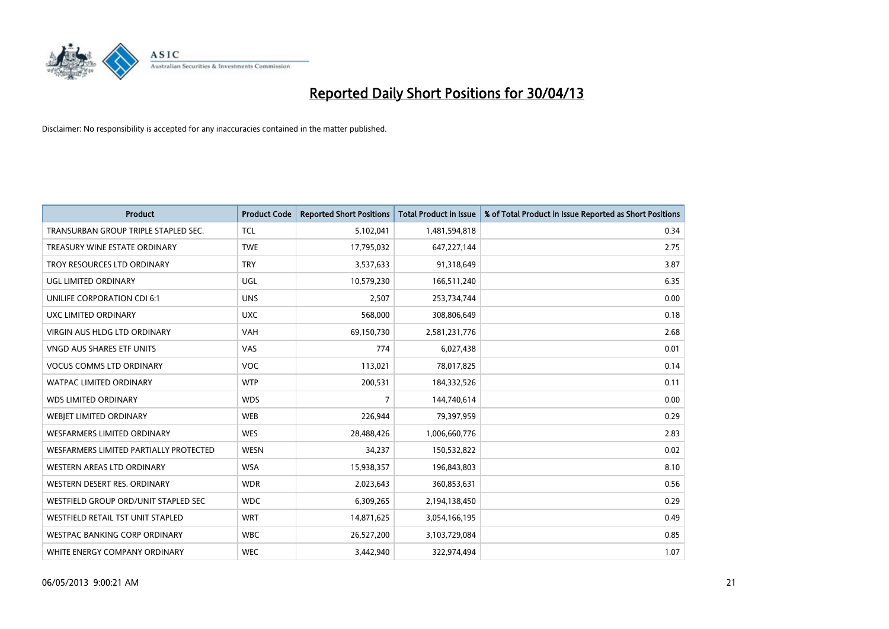

| <b>Product</b>                         | <b>Product Code</b> | <b>Reported Short Positions</b> | <b>Total Product in Issue</b> | % of Total Product in Issue Reported as Short Positions |
|----------------------------------------|---------------------|---------------------------------|-------------------------------|---------------------------------------------------------|
| TRANSURBAN GROUP TRIPLE STAPLED SEC.   | <b>TCL</b>          | 5,102,041                       | 1,481,594,818                 | 0.34                                                    |
| TREASURY WINE ESTATE ORDINARY          | <b>TWE</b>          | 17,795,032                      | 647,227,144                   | 2.75                                                    |
| TROY RESOURCES LTD ORDINARY            | <b>TRY</b>          | 3,537,633                       | 91,318,649                    | 3.87                                                    |
| UGL LIMITED ORDINARY                   | UGL                 | 10,579,230                      | 166,511,240                   | 6.35                                                    |
| UNILIFE CORPORATION CDI 6:1            | <b>UNS</b>          | 2,507                           | 253,734,744                   | 0.00                                                    |
| UXC LIMITED ORDINARY                   | <b>UXC</b>          | 568,000                         | 308,806,649                   | 0.18                                                    |
| VIRGIN AUS HLDG LTD ORDINARY           | <b>VAH</b>          | 69,150,730                      | 2,581,231,776                 | 2.68                                                    |
| <b>VNGD AUS SHARES ETF UNITS</b>       | <b>VAS</b>          | 774                             | 6,027,438                     | 0.01                                                    |
| <b>VOCUS COMMS LTD ORDINARY</b>        | <b>VOC</b>          | 113,021                         | 78,017,825                    | 0.14                                                    |
| <b>WATPAC LIMITED ORDINARY</b>         | <b>WTP</b>          | 200,531                         | 184,332,526                   | 0.11                                                    |
| <b>WDS LIMITED ORDINARY</b>            | <b>WDS</b>          | $\overline{7}$                  | 144,740,614                   | 0.00                                                    |
| WEBJET LIMITED ORDINARY                | <b>WEB</b>          | 226,944                         | 79,397,959                    | 0.29                                                    |
| <b>WESFARMERS LIMITED ORDINARY</b>     | <b>WES</b>          | 28,488,426                      | 1,006,660,776                 | 2.83                                                    |
| WESFARMERS LIMITED PARTIALLY PROTECTED | <b>WESN</b>         | 34,237                          | 150,532,822                   | 0.02                                                    |
| WESTERN AREAS LTD ORDINARY             | <b>WSA</b>          | 15,938,357                      | 196,843,803                   | 8.10                                                    |
| WESTERN DESERT RES. ORDINARY           | <b>WDR</b>          | 2,023,643                       | 360,853,631                   | 0.56                                                    |
| WESTFIELD GROUP ORD/UNIT STAPLED SEC   | <b>WDC</b>          | 6,309,265                       | 2,194,138,450                 | 0.29                                                    |
| WESTFIELD RETAIL TST UNIT STAPLED      | <b>WRT</b>          | 14,871,625                      | 3,054,166,195                 | 0.49                                                    |
| <b>WESTPAC BANKING CORP ORDINARY</b>   | <b>WBC</b>          | 26,527,200                      | 3,103,729,084                 | 0.85                                                    |
| WHITE ENERGY COMPANY ORDINARY          | <b>WEC</b>          | 3,442,940                       | 322,974,494                   | 1.07                                                    |